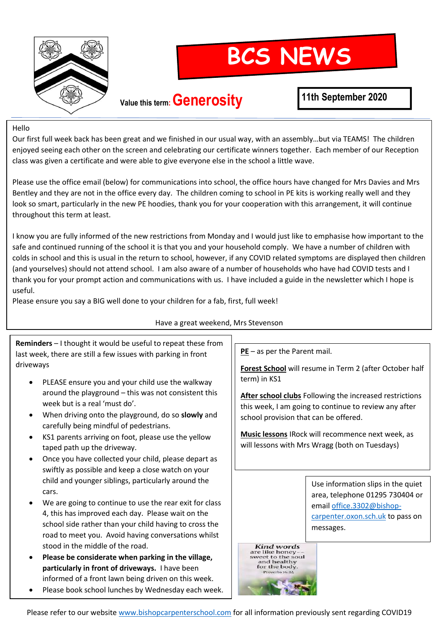

# **BCS NEWS**

### **Value this term: Generosity**

### **11th September 2020**

#### Hello

Our first full week back has been great and we finished in our usual way, with an assembly…but via TEAMS! The children enjoyed seeing each other on the screen and celebrating our certificate winners together. Each member of our Reception class was given a certificate and were able to give everyone else in the school a little wave.

Please use the office email (below) for communications into school, the office hours have changed for Mrs Davies and Mrs Bentley and they are not in the office every day. The children coming to school in PE kits is working really well and they look so smart, particularly in the new PE hoodies, thank you for your cooperation with this arrangement, it will continue throughout this term at least.

I know you are fully informed of the new restrictions from Monday and I would just like to emphasise how important to the safe and continued running of the school it is that you and your household comply. We have a number of children with colds in school and this is usual in the return to school, however, if any COVID related symptoms are displayed then children (and yourselves) should not attend school. I am also aware of a number of households who have had COVID tests and I thank you for your prompt action and communications with us. I have included a guide in the newsletter which I hope is useful.

Please ensure you say a BIG well done to your children for a fab, first, full week!

#### Have a great weekend, Mrs Stevenson

**Reminders** – I thought it would be useful to repeat these from last week, there are still a few issues with parking in front driveways

- PLEASE ensure you and your child use the walkway around the playground – this was not consistent this week but is a real 'must do'.
- When driving onto the playground, do so **slowly** and carefully being mindful of pedestrians.
- KS1 parents arriving on foot, please use the yellow taped path up the driveway.
- Once you have collected your child, please depart as swiftly as possible and keep a close watch on your child and younger siblings, particularly around the cars.
- We are going to continue to use the rear exit for class 4, this has improved each day. Please wait on the school side rather than your child having to cross the road to meet you. Avoid having conversations whilst stood in the middle of the road.
- **Please be considerate when parking in the village, particularly in front of driveways.** I have been informed of a front lawn being driven on this week.
- Please book school lunches by Wednesday each week.

**PE** – as per the Parent mail.

**Forest School** will resume in Term 2 (after October half term) in KS1

**After school clubs** Following the increased restrictions this week, I am going to continue to review any after school provision that can be offered.

**Music lessons** IRock will recommence next week, as will lessons with Mrs Wragg (both on Tuesdays)

> Use information slips in the quiet area, telephone 01295 730404 or email [office.3302@bishop](mailto:office.3302@bishop-carpenter.oxon.sch.uk)[carpenter.oxon.sch.uk](mailto:office.3302@bishop-carpenter.oxon.sch.uk) to pass on messages.

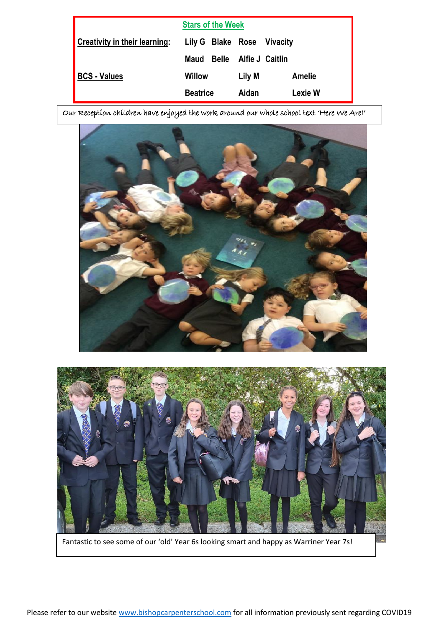| <b>Stars of the Week</b>             |                   |              |                 |               |
|--------------------------------------|-------------------|--------------|-----------------|---------------|
| <b>Creativity in their learning:</b> | Lily G Blake Rose |              | Vivacity        |               |
|                                      | Maud              | <b>Belle</b> | Alfie J Caitlin |               |
| <b>BCS - Values</b>                  | Willow            |              | Lily M          | <b>Amelie</b> |
|                                      | <b>Beatrice</b>   |              | Aidan           | Lexie W       |

Our Reception children have enjoyed the work around our whole school text 'Here We Are!'





Fantastic to see some of our 'old' Year 6s looking smart and happy as Warriner Year 7s!